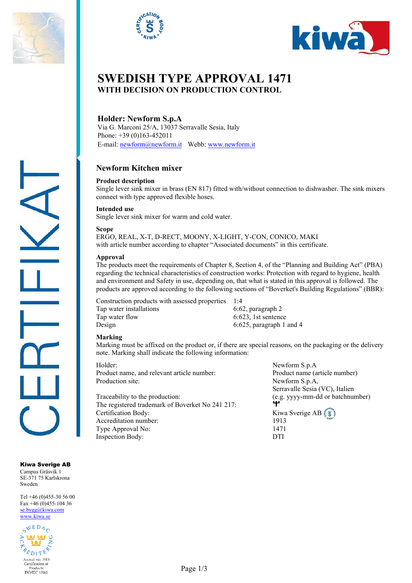





# **SWEDISH TYPE APPROVAL 1471 WITH DECISION ON PRODUCTION CONTROL**

# **Holder: Newform S.p.A**

Via G. Marconi 25/A, 13037 Serravalle Sesia, Italy Phone: +39 (0)163-452011 E-mail: [newform@newform.it](mailto:newform@newform.it) Webb[: www.newform.it](http://www.newform.it/)

# **Newform Kitchen mixer**

### **Product description**

Single lever sink mixer in brass (EN 817) fitted with/without connection to dishwasher. The sink mixers connect with type approved flexible hoses.

#### **Intended use**

Single lever sink mixer for warm and cold water.

#### **Scope**

ERGO, REAL, X-T, D-RECT, MOONY, X-LIGHT, Y-CON, CONICO, MAKI with article number according to chapter "Associated documents" in this certificate.

#### **Approval**

The products meet the requirements of Chapter 8, Section 4, of the "Planning and Building Act" (PBA) regarding the technical characteristics of construction works: Protection with regard to hygiene, health and environment and Safety in use, depending on, that what is stated in this approval is followed. The products are approved according to the following sections of "Boverket's Building Regulations" (BBR):

Construction products with assessed properties 1:4 Tap water installations 6:62, paragraph 2 Tap water flow 6:623, 1st sentence<br>Design 6:625, paragraph 1

 $6:625$ , paragraph 1 and 4

#### **Marking**

Marking must be affixed on the product or, if there are special reasons, on the packaging or the delivery note. Marking shall indicate the following information:

Product name, and relevant article number: Product name (article number) Production site: Newform S.p.A,

Traceability to the production:<br>
The registered tradential from the CH 211 211 211 212 The registered trademark of Boverket No 241 217: Certification Body:<br>Accreditation number: 1913 Accreditation number: 1913<br>Type Approval No: 1471 Type Approval No: Inspection Body: DTI

Holder: Newform S.p.A Serravalle Sesia (VC), Italien

Kiwa Sverige AB Campus Gräsvik 1 SE-371 75 Karlskrona Sweden

Tel +46 (0)455-30 56 00 Fax  $+46(0)455-10436$ [se.bygg@kiwa.com](file://sekiw-mainframe/gemensam/Bygg%20och%20Energi/2%20Kunder/H/Hansgrohe%20SE/p%C3%A5g%C3%A5ende%20%C3%A4renden/128-19_TG%201395%20rev2_1-grepps%20TS-blandare%20f%C3%B6r%202-h%C3%A5ls%20inbyggnad%20i%20v%C3%A4gg_AXOR%20MyEdition_(EN%20817)/Certifikat%20utkast/se.bygg@kiwa.com) [www.kiwa.se](http://www.kiwa.se/)

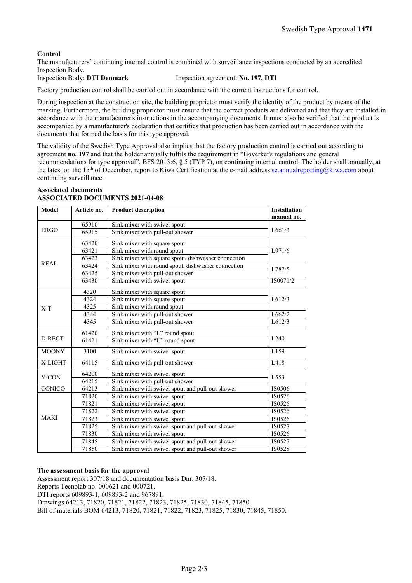## **Control**

The manufacturers´ continuing internal control is combined with surveillance inspections conducted by an accredited Inspection Body.

Inspection Body: **DTI Denmark** Inspection agreement: **No. 197, DTI**

Factory production control shall be carried out in accordance with the current instructions for control.

During inspection at the construction site, the building proprietor must verify the identity of the product by means of the marking. Furthermore, the building proprietor must ensure that the correct products are delivered and that they are installed in accordance with the manufacturer's instructions in the accompanying documents. It must also be verified that the product is accompanied by a manufacturer's declaration that certifies that production has been carried out in accordance with the documents that formed the basis for this type approval.

The validity of the Swedish Type Approval also implies that the factory production control is carried out according to agreement **no. 197** and that the holder annually fulfils the requirement in "Boverket's regulations and general recommendations for type approval", BFS 2013:6, § 5 (TYP 7), on continuing internal control. The holder shall annually, at the latest on the 15<sup>th</sup> of December, report to Kiwa Certification at the e-mail addres[s se.annualreporting@kiwa.com](mailto:se.annualreporting@kiwa.com) about continuing surveillance.

#### **Associated documents ASSOCIATED DOCUMENTS 2021-04-08**

| <b>Model</b> | Article no. | <b>Product description</b>                          | <b>Installation</b><br>manual no. |
|--------------|-------------|-----------------------------------------------------|-----------------------------------|
|              | 65910       | Sink mixer with swivel spout                        |                                   |
| <b>ERGO</b>  | 65915       | Sink mixer with pull-out shower                     | L661/3                            |
|              |             |                                                     |                                   |
| <b>REAL</b>  | 63420       | Sink mixer with square spout                        | L971/6                            |
|              | 63421       | Sink mixer with round spout                         |                                   |
|              | 63423       | Sink mixer with square spout, dishwasher connection |                                   |
|              | 63424       | Sink mixer with round spout, dishwasher connection  | L787/5                            |
|              | 63425       | Sink mixer with pull-out shower                     |                                   |
|              | 63430       | Sink mixer with swivel spout                        | IS0071/2                          |
| $X-T$        | 4320        | Sink mixer with square spout                        | L612/3                            |
|              | 4324        | Sink mixer with square spout                        |                                   |
|              | 4325        | Sink mixer with round spout                         |                                   |
|              | 4344        | Sink mixer with pull-out shower                     | L662/2                            |
|              | 4345        | Sink mixer with pull-out shower                     | L612/3                            |
| D-RECT       | 61420       | Sink mixer with "L" round spout                     | L <sub>240</sub>                  |
|              | 61421       | Sink mixer with "U" round spout                     |                                   |
| <b>MOONY</b> | 3100        | Sink mixer with swivel spout                        | L159                              |
| X-LIGHT      | 64115       | Sink mixer with pull-out shower                     | L418                              |
| Y-CON        | 64200       | Sink mixer with swivel spout                        | L <sub>553</sub>                  |
|              | 64215       | Sink mixer with pull-out shower                     |                                   |
| CONICO       | 64213       | Sink mixer with swivel spout and pull-out shower    | IS0506                            |
| <b>MAKI</b>  | 71820       | Sink mixer with swivel spout                        | IS0526                            |
|              | 71821       | Sink mixer with swivel spout                        | IS0526                            |
|              | 71822       | Sink mixer with swivel spout                        | IS0526                            |
|              | 71823       | Sink mixer with swivel spout                        | IS0526                            |
|              | 71825       | Sink mixer with swivel spout and pull-out shower    | IS0527                            |
|              | 71830       | Sink mixer with swivel spout                        | IS0526                            |
|              | 71845       | Sink mixer with swivel spout and pull-out shower    | IS0527                            |
|              | 71850       | Sink mixer with swivel spout and pull-out shower    | IS0528                            |

#### **The assessment basis for the approval**

Assessment report 307/18 and documentation basis Dnr. 307/18. Reports Tecnolab no. 000621 and 000721.

DTI reports 609893-1, 609893-2 and 967891.

Drawings 64213, 71820, 71821, 71822, 71823, 71825, 71830, 71845, 71850.

Bill of materials BOM 64213, 71820, 71821, 71822, 71823, 71825, 71830, 71845, 71850.